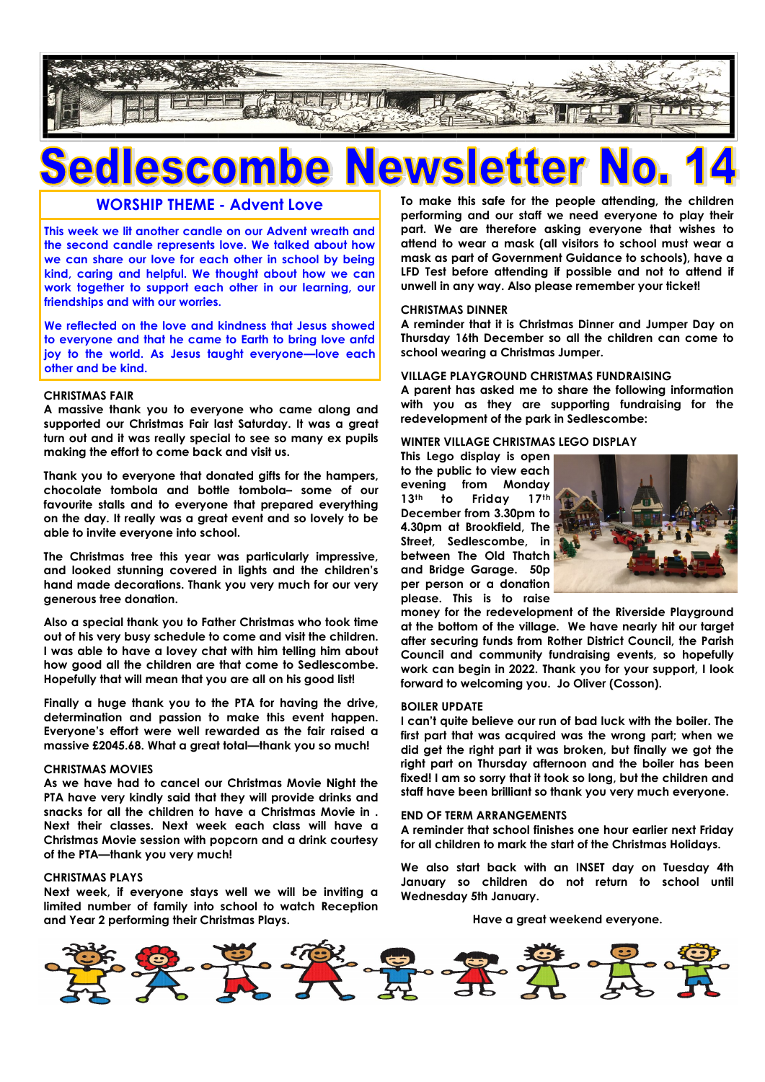

# **escol**

### **WORSHIP THEME - Advent Love**

**This week we lit another candle on our Advent wreath and the second candle represents love. We talked about how we can share our love for each other in school by being kind, caring and helpful. We thought about how we can work together to support each other in our learning, our friendships and with our worries.**

**We reflected on the love and kindness that Jesus showed to everyone and that he came to Earth to bring love anfd joy to the world. As Jesus taught everyone—love each other and be kind.**

#### **CHRISTMAS FAIR**

**A massive thank you to everyone who came along and supported our Christmas Fair last Saturday. It was a great turn out and it was really special to see so many ex pupils making the effort to come back and visit us.** 

**Thank you to everyone that donated gifts for the hampers, chocolate tombola and bottle tombola– some of our favourite stalls and to everyone that prepared everything on the day. It really was a great event and so lovely to be able to invite everyone into school.**

**The Christmas tree this year was particularly impressive, and looked stunning covered in lights and the children's hand made decorations. Thank you very much for our very generous tree donation.**

**Also a special thank you to Father Christmas who took time out of his very busy schedule to come and visit the children. I was able to have a lovey chat with him telling him about how good all the children are that come to Sedlescombe. Hopefully that will mean that you are all on his good list!**

**Finally a huge thank you to the PTA for having the drive, determination and passion to make this event happen. Everyone's effort were well rewarded as the fair raised a massive £2045.68. What a great total—thank you so much!**

#### **CHRISTMAS MOVIES**

**As we have had to cancel our Christmas Movie Night the PTA have very kindly said that they will provide drinks and snacks for all the children to have a Christmas Movie in . Next their classes. Next week each class will have a Christmas Movie session with popcorn and a drink courtesy of the PTA—thank you very much!**

#### **CHRISTMAS PLAYS**

**Next week, if everyone stays well we will be inviting a limited number of family into school to watch Reception and Year 2 performing their Christmas Plays.**

**To make this safe for the people attending, the children performing and our staff we need everyone to play their part. We are therefore asking everyone that wishes to attend to wear a mask (all visitors to school must wear a mask as part of Government Guidance to schools), have a LFD Test before attending if possible and not to attend if unwell in any way. Also please remember your ticket!**

#### **CHRISTMAS DINNER**

**A reminder that it is Christmas Dinner and Jumper Day on Thursday 16th December so all the children can come to school wearing a Christmas Jumper.** 

#### **VILLAGE PLAYGROUND CHRISTMAS FUNDRAISING**

**A parent has asked me to share the following information with you as they are supporting fundraising for the redevelopment of the park in Sedlescombe:**

#### **WINTER VILLAGE CHRISTMAS LEGO DISPLAY**

**This Lego display is open to the public to view each evening from Monday 13th to Friday 17th December from 3.30pm to 4.30pm at Brookfield, The Street, Sedlescombe, in between The Old Thatch and Bridge Garage. 50p per person or a donation please. This is to raise** 



**money for the redevelopment of the Riverside Playground at the bottom of the village. We have nearly hit our target after securing funds from Rother District Council, the Parish Council and community fundraising events, so hopefully work can begin in 2022. Thank you for your support, I look forward to welcoming you. Jo Oliver (Cosson).** 

#### **BOILER UPDATE**

**I can't quite believe our run of bad luck with the boiler. The first part that was acquired was the wrong part; when we did get the right part it was broken, but finally we got the right part on Thursday afternoon and the boiler has been fixed! I am so sorry that it took so long, but the children and staff have been brilliant so thank you very much everyone.**

#### **END OF TERM ARRANGEMENTS**

**A reminder that school finishes one hour earlier next Friday for all children to mark the start of the Christmas Holidays.**

**We also start back with an INSET day on Tuesday 4th January so children do not return to school until Wednesday 5th January.**

**Have a great weekend everyone.**